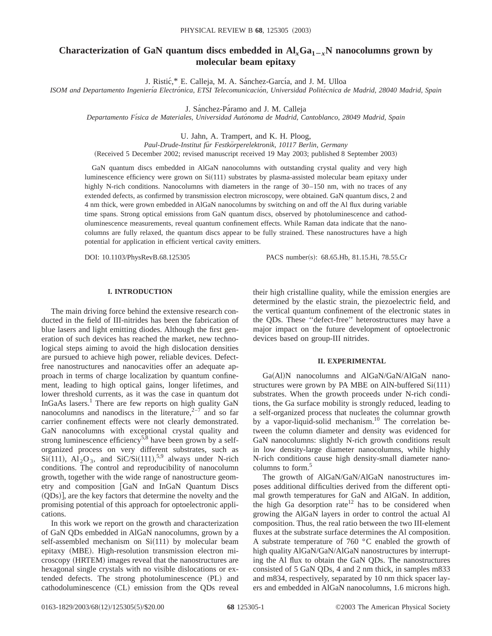# **Characterization of GaN quantum discs embedded in**  $AI_xGa_{1-x}N$  **nanocolumns grown by molecular beam epitaxy**

J. Ristić,\* E. Calleja, M. A. Sánchez-García, and J. M. Ulloa

*ISOM and Departamento Ingenierı´a Electro´nica, ETSI Telecomunicacio´n, Universidad Polite´cnica de Madrid, 28040 Madrid, Spain*

J. Sánchez-Páramo and J. M. Calleja

*Departamento Fı´sica de Materiales, Universidad Auto´noma de Madrid, Cantoblanco, 28049 Madrid, Spain*

U. Jahn, A. Trampert, and K. H. Ploog,

*Paul-Drude-Institut fu¨r Festko¨rperelektronik, 10117 Berlin, Germany*

(Received 5 December 2002; revised manuscript received 19 May 2003; published 8 September 2003)

GaN quantum discs embedded in AlGaN nanocolumns with outstanding crystal quality and very high luminescence efficiency were grown on  $Si(111)$  substrates by plasma-assisted molecular beam epitaxy under highly N-rich conditions. Nanocolumns with diameters in the range of 30–150 nm, with no traces of any extended defects, as confirmed by transmission electron microscopy, were obtained. GaN quantum discs, 2 and 4 nm thick, were grown embedded in AlGaN nanocolumns by switching on and off the Al flux during variable time spans. Strong optical emissions from GaN quantum discs, observed by photoluminescence and cathodoluminescence measurements, reveal quantum confinement effects. While Raman data indicate that the nanocolumns are fully relaxed, the quantum discs appear to be fully strained. These nanostructures have a high potential for application in efficient vertical cavity emitters.

DOI: 10.1103/PhysRevB.68.125305 PACS number(s): 68.65.Hb, 81.15.Hi, 78.55.Cr

# **I. INTRODUCTION**

The main driving force behind the extensive research conducted in the field of III-nitrides has been the fabrication of blue lasers and light emitting diodes. Although the first generation of such devices has reached the market, new technological steps aiming to avoid the high dislocation densities are pursued to achieve high power, reliable devices. Defectfree nanostructures and nanocavities offer an adequate approach in terms of charge localization by quantum confinement, leading to high optical gains, longer lifetimes, and lower threshold currents, as it was the case in quantum dot InGaAs lasers.1 There are few reports on high quality GaN nanocolumns and nanodiscs in the literature,  $2^{-7}$  and so far carrier confinement effects were not clearly demonstrated. GaN nanocolumns with exceptional crystal quality and strong luminescence efficiency<sup>5,8</sup> have been grown by a selforganized process on very different substrates, such as  $Si(111)$ ,  $Al_2O_3$ , and  $SiC/Si(111)$ ,<sup>5,9</sup> always under N-rich conditions. The control and reproducibility of nanocolumn growth, together with the wide range of nanostructure geometry and composition [GaN and InGaN Quantum Discs  $(ODs)$ , are the key factors that determine the novelty and the promising potential of this approach for optoelectronic applications.

In this work we report on the growth and characterization of GaN QDs embedded in AlGaN nanocolumns, grown by a self-assembled mechanism on  $Si(111)$  by molecular beam epitaxy (MBE). High-resolution transmission electron microscopy (HRTEM) images reveal that the nanostructures are hexagonal single crystals with no visible dislocations or extended defects. The strong photoluminescence (PL) and cathodoluminescence (CL) emission from the QDs reveal

their high cristalline quality, while the emission energies are determined by the elastic strain, the piezoelectric field, and the vertical quantum confinement of the electronic states in the QDs. These ''defect-free'' heterostructures may have a major impact on the future development of optoelectronic devices based on group-III nitrides.

## **II. EXPERIMENTAL**

Ga(Al)N nanocolumns and AlGaN/GaN/AlGaN nanostructures were grown by PA MBE on AlN-buffered  $Si(111)$ substrates. When the growth proceeds under N-rich conditions, the Ga surface mobility is strongly reduced, leading to a self-organized process that nucleates the columnar growth by a vapor-liquid-solid mechanism.<sup>10</sup> The correlation between the column diameter and density was evidenced for GaN nanocolumns: slightly N-rich growth conditions result in low density-large diameter nanocolumns, while highly N-rich conditions cause high density-small diameter nanocolumns to form.<sup>5</sup>

The growth of AlGaN/GaN/AlGaN nanostructures imposes additional difficulties derived from the different optimal growth temperatures for GaN and AlGaN. In addition, the high Ga desorption rate<sup>12</sup> has to be considered when growing the AlGaN layers in order to control the actual Al composition. Thus, the real ratio between the two III-element fluxes at the substrate surface determines the Al composition. A substrate temperature of 760 °C enabled the growth of high quality AlGaN/GaN/AlGaN nanostructures by interrupting the Al flux to obtain the GaN QDs. The nanostructures consisted of 5 GaN QDs, 4 and 2 nm thick, in samples m833 and m834, respectively, separated by 10 nm thick spacer layers and embedded in AlGaN nanocolumns, 1.6 microns high.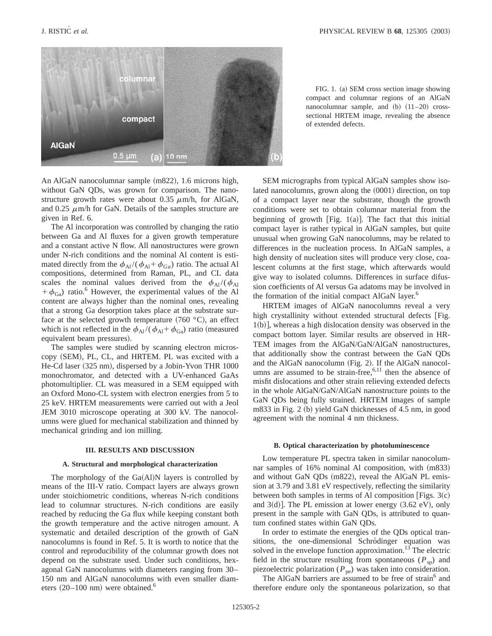

FIG. 1. (a) SEM cross section image showing compact and columnar regions of an AlGaN nanocolumnar sample, and  $(b)$   $(11–20)$  crosssectional HRTEM image, revealing the absence of extended defects.

An AlGaN nanocolumnar sample (m822), 1.6 microns high, without GaN QDs, was grown for comparison. The nanostructure growth rates were about 0.35  $\mu$ m/h, for AlGaN, and 0.25  $\mu$ m/h for GaN. Details of the samples structure are given in Ref. 6.

The Al incorporation was controlled by changing the ratio between Ga and Al fluxes for a given growth temperature and a constant active N flow. All nanostructures were grown under N-rich conditions and the nominal Al content is estimated directly from the  $\phi_{\text{Al}}/(\phi_{\text{Al}} + \phi_{\text{Ga}})$  ratio. The actual Al compositions, determined from Raman, PL, and CL data scales the nominal values derived from the  $\phi_{Al}/(\phi_{Al})$  $+ \phi_{Ga}$ ) ratio.<sup>6</sup> However, the experimental values of the Al content are always higher than the nominal ones, revealing that a strong Ga desorption takes place at the substrate surface at the selected growth temperature  $(760 \degree C)$ , an effect which is not reflected in the  $\phi_{Al}/(\phi_{Al}+\phi_{Ga})$  ratio (measured equivalent beam pressures).

The samples were studied by scanning electron microscopy (SEM), PL, CL, and HRTEM. PL was excited with a He-Cd laser (325 nm), dispersed by a Jobin-Yvon THR 1000 monochromator, and detected with a UV-enhanced GaAs photomultiplier. CL was measured in a SEM equipped with an Oxford Mono-CL system with electron energies from 5 to 25 keV. HRTEM measurements were carried out with a Jeol JEM 3010 microscope operating at 300 kV. The nanocolumns were glued for mechanical stabilization and thinned by mechanical grinding and ion milling.

#### **III. RESULTS AND DISCUSSION**

#### **A. Structural and morphological characterization**

The morphology of the  $Ga(A)$ N layers is controlled by means of the III-V ratio. Compact layers are always grown under stoichiometric conditions, whereas N-rich conditions lead to columnar structures. N-rich conditions are easily reached by reducing the Ga flux while keeping constant both the growth temperature and the active nitrogen amount. A systematic and detailed description of the growth of GaN nanocolumns is found in Ref. 5. It is worth to notice that the control and reproducibility of the columnar growth does not depend on the substrate used. Under such conditions, hexagonal GaN nanocolumns with diameters ranging from 30– 150 nm and AlGaN nanocolumns with even smaller diameters  $(20-100 \text{ nm})$  were obtained.<sup>6</sup>

SEM micrographs from typical AlGaN samples show isolated nanocolumns, grown along the  $(0001)$  direction, on top of a compact layer near the substrate, though the growth conditions were set to obtain columnar material from the beginning of growth [Fig. 1(a)]. The fact that this initial compact layer is rather typical in AlGaN samples, but quite unusual when growing GaN nanocolumns, may be related to differences in the nucleation process. In AlGaN samples, a high density of nucleation sites will produce very close, coalescent columns at the first stage, which afterwards would give way to isolated columns. Differences in surface difussion coefficients of Al versus Ga adatoms may be involved in the formation of the initial compact AlGaN layer.<sup>6</sup>

HRTEM images of AlGaN nanocolumns reveal a very high crystallinity without extended structural defects [Fig.  $1(b)$ , whereas a high dislocation density was observed in the compact bottom layer. Similar results are observed in HR-TEM images from the AlGaN/GaN/AlGaN nanostructures, that additionally show the contrast between the GaN QDs and the AlGaN nanocolumn  $(Fig. 2)$ . If the AlGaN nanocolumns are assumed to be strain-free,  $6,11$  then the absence of misfit dislocations and other strain relieving extended defects in the whole AlGaN/GaN/AlGaN nanostructure points to the GaN QDs being fully strained. HRTEM images of sample  $m833$  in Fig. 2 (b) yield GaN thicknesses of 4.5 nm, in good agreement with the nominal 4 nm thickness.

#### **B. Optical characterization by photoluminescence**

Low temperature PL spectra taken in similar nanocolumnar samples of  $16\%$  nominal Al composition, with  $(m833)$ and without GaN QDs (m822), reveal the AlGaN PL emission at 3.79 and 3.81 eV respectively, reflecting the similarity between both samples in terms of Al composition [Figs.  $3(c)$ ] and  $3(d)$ ]. The PL emission at lower energy  $(3.62 \text{ eV})$ , only present in the sample with GaN QDs, is attributed to quantum confined states within GaN QDs.

In order to estimate the energies of the QDs optical transitions, the one-dimensional Schrödinger equation was solved in the envelope function approximation.<sup>13</sup> The electric field in the structure resulting from spontaneous  $(P_{\text{sp}})$  and piezoelectric polarization ( $P_{pe}$ ) was taken into consideration.

The AlGaN barriers are assumed to be free of strain<sup>6</sup> and therefore endure only the spontaneous polarization, so that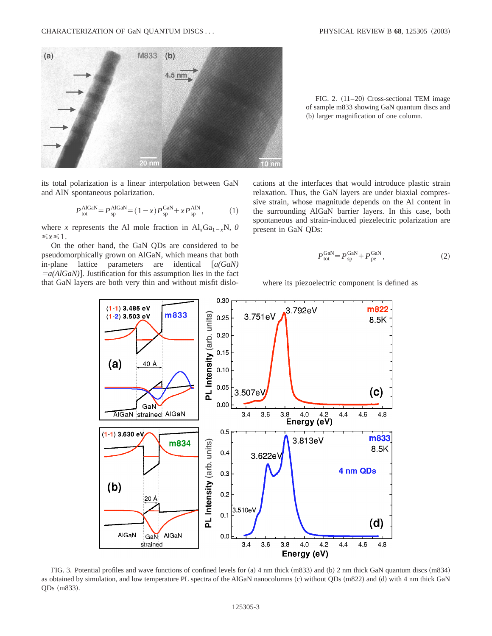

its total polarization is a linear interpolation between GaN and AlN spontaneous polarization.

$$
P_{\text{tot}}^{\text{AlGaN}} = P_{\text{sp}}^{\text{AlGaN}} = (1 - x) P_{\text{sp}}^{\text{GaN}} + x P_{\text{sp}}^{\text{AlN}},\tag{1}
$$

where *x* represents the Al mole fraction in  $AI_xGa_{1-x}N$ , *0*  $\leq x \leq 1$ .

On the other hand, the GaN QDs are considered to be pseudomorphically grown on AlGaN, which means that both in-plane lattice parameters are identical  $[a(GaN)]$  $=a(AlGaN)$ . Justification for this assumption lies in the fact that GaN layers are both very thin and without misfit dislo-

FIG. 2.  $(11–20)$  Cross-sectional TEM image of sample m833 showing GaN quantum discs and (b) larger magnification of one column.

cations at the interfaces that would introduce plastic strain relaxation. Thus, the GaN layers are under biaxial compressive strain, whose magnitude depends on the Al content in the surrounding AlGaN barrier layers. In this case, both spontaneous and strain-induced piezelectric polarization are present in GaN QDs:

$$
P_{\text{tot}}^{\text{GaN}} = P_{\text{sp}}^{\text{GaN}} + P_{\text{pe}}^{\text{GaN}},\tag{2}
$$

where its piezoelectric component is defined as



FIG. 3. Potential profiles and wave functions of confined levels for  $(a)$  4 nm thick  $(m833)$  and  $(b)$  2 nm thick GaN quantum discs  $(m834)$ as obtained by simulation, and low temperature PL spectra of the AlGaN nanocolumns (c) without QDs (m822) and (d) with 4 nm thick GaN QDs (m833).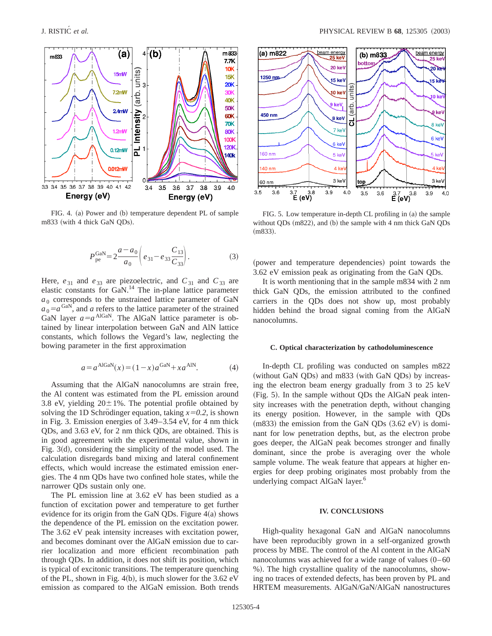

FIG. 4. (a) Power and (b) temperature dependent PL of sample m833 (with 4 thick GaN QDs).

$$
P_{\text{pe}}^{\text{GaN}} = 2 \frac{a - a_0}{a_0} \left( e_{31} - e_{33} \frac{C_{13}}{C_{33}} \right). \tag{3}
$$

Here,  $e_{31}$  and  $e_{33}$  are piezoelectric, and  $C_{31}$  and  $C_{33}$  are elastic constants for GaN.<sup>14</sup> The in-plane lattice parameter  $a_0$  corresponds to the unstrained lattice parameter of GaN  $a_0 = a^{\text{GAN}}$ , and *a* refers to the lattice parameter of the strained GaN layer  $a=a^{AIGaN}$ . The AlGaN lattice parameter is obtained by linear interpolation between GaN and AlN lattice constants, which follows the Vegard's law, neglecting the bowing parameter in the first approximation

$$
a = a^{\text{AlGaN}}(x) = (1 - x)a^{\text{GaN}} + xa^{\text{AlN}}.\tag{4}
$$

Assuming that the AlGaN nanocolumns are strain free, the Al content was estimated from the PL emission around 3.8 eV, yielding  $20 \pm 1\%$ . The potential profile obtained by solving the 1D Schrödinger equation, taking  $x=0.2$ , is shown in Fig. 3. Emission energies of 3.49–3.54 eV, for 4 nm thick QDs, and 3.63 eV, for 2 nm thick QDs, are obtained. This is in good agreement with the experimental value, shown in Fig.  $3(d)$ , considering the simplicity of the model used. The calculation disregards band mixing and lateral confinement effects, which would increase the estimated emission energies. The 4 nm QDs have two confined hole states, while the narrower QDs sustain only one.

The PL emission line at 3.62 eV has been studied as a function of excitation power and temperature to get further evidence for its origin from the GaN QDs. Figure  $4(a)$  shows the dependence of the PL emission on the excitation power. The 3.62 eV peak intensity increases with excitation power, and becomes dominant over the AlGaN emission due to carrier localization and more efficient recombination path through QDs. In addition, it does not shift its position, which is typical of excitonic transitions. The temperature quenching of the PL, shown in Fig. 4(b), is much slower for the  $3.62 \text{ eV}$ emission as compared to the AlGaN emission. Both trends



FIG. 5. Low temperature in-depth CL profiling in  $(a)$  the sample without QDs  $(m822)$ , and  $(b)$  the sample with 4 nm thick GaN QDs  $(m833).$ 

(power and temperature dependencies) point towards the 3.62 eV emission peak as originating from the GaN QDs.

It is worth mentioning that in the sample m834 with 2 nm thick GaN QDs, the emission attributed to the confined carriers in the QDs does not show up, most probably hidden behind the broad signal coming from the AlGaN nanocolumns.

### **C. Optical characterization by cathodoluminescence**

In-depth CL profiling was conducted on samples m822 (without GaN QDs) and m833 (with GaN QDs) by increasing the electron beam energy gradually from 3 to 25 keV  $(Fig. 5)$ . In the sample without QDs the AlGaN peak intensity increases with the penetration depth, without changing its energy position. However, in the sample with QDs  $(m833)$  the emission from the GaN QDs  $(3.62 \text{ eV})$  is dominant for low penetration depths, but, as the electron probe goes deeper, the AlGaN peak becomes stronger and finally dominant, since the probe is averaging over the whole sample volume. The weak feature that appears at higher energies for deep probing originates most probably from the underlying compact AlGaN layer.<sup>6</sup>

## **IV. CONCLUSIONS**

High-quality hexagonal GaN and AlGaN nanocolumns have been reproducibly grown in a self-organized growth process by MBE. The control of the Al content in the AlGaN nanocolumns was achieved for a wide range of values  $(0-60)$ %!. The high crystalline quality of the nanocolumns, showing no traces of extended defects, has been proven by PL and HRTEM measurements. AlGaN/GaN/AlGaN nanostructures